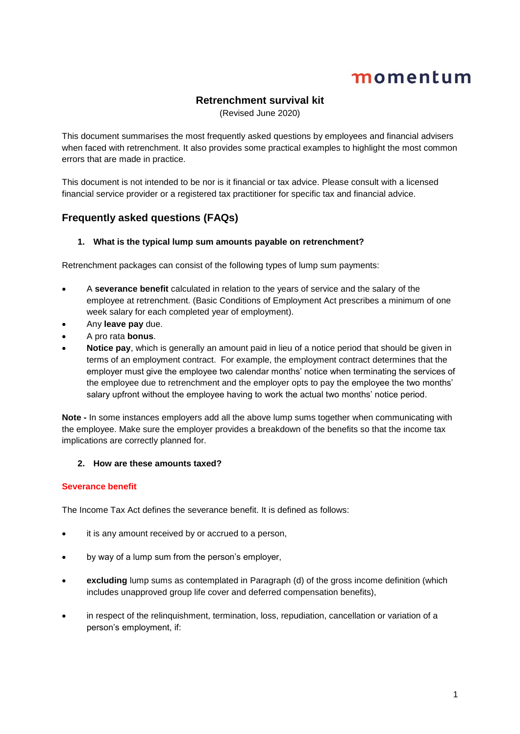### **Retrenchment survival kit**

(Revised June 2020)

This document summarises the most frequently asked questions by employees and financial advisers when faced with retrenchment. It also provides some practical examples to highlight the most common errors that are made in practice.

This document is not intended to be nor is it financial or tax advice. Please consult with a licensed financial service provider or a registered tax practitioner for specific tax and financial advice.

### **Frequently asked questions (FAQs)**

#### **1. What is the typical lump sum amounts payable on retrenchment?**

Retrenchment packages can consist of the following types of lump sum payments:

- A **severance benefit** calculated in relation to the years of service and the salary of the employee at retrenchment. (Basic Conditions of Employment Act prescribes a minimum of one week salary for each completed year of employment).
- Any **leave pay** due.
- A pro rata **bonus**.
- **Notice pay**, which is generally an amount paid in lieu of a notice period that should be given in terms of an employment contract. For example, the employment contract determines that the employer must give the employee two calendar months' notice when terminating the services of the employee due to retrenchment and the employer opts to pay the employee the two months' salary upfront without the employee having to work the actual two months' notice period.

**Note -** In some instances employers add all the above lump sums together when communicating with the employee. Make sure the employer provides a breakdown of the benefits so that the income tax implications are correctly planned for.

#### **2. How are these amounts taxed?**

#### **Severance benefit**

The Income Tax Act defines the severance benefit. It is defined as follows:

- it is any amount received by or accrued to a person,
- by way of a lump sum from the person's employer,
- **excluding** lump sums as contemplated in Paragraph (d) of the gross income definition (which includes unapproved group life cover and deferred compensation benefits),
- in respect of the relinquishment, termination, loss, repudiation, cancellation or variation of a person's employment, if: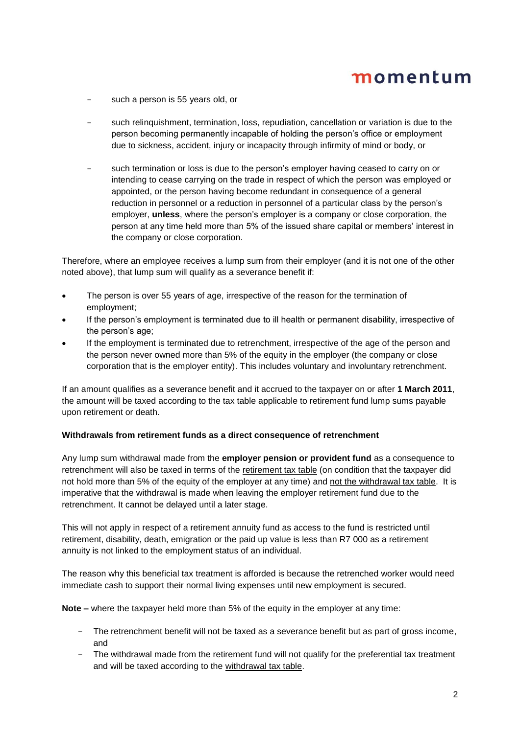- such a person is 55 years old, or
- such relinquishment, termination, loss, repudiation, cancellation or variation is due to the person becoming permanently incapable of holding the person's office or employment due to sickness, accident, injury or incapacity through infirmity of mind or body, or
- such termination or loss is due to the person's employer having ceased to carry on or intending to cease carrying on the trade in respect of which the person was employed or appointed, or the person having become redundant in consequence of a general reduction in personnel or a reduction in personnel of a particular class by the person's employer, **unless**, where the person's employer is a company or close corporation, the person at any time held more than 5% of the issued share capital or members' interest in the company or close corporation.

Therefore, where an employee receives a lump sum from their employer (and it is not one of the other noted above), that lump sum will qualify as a severance benefit if:

- The person is over 55 years of age, irrespective of the reason for the termination of employment;
- If the person's employment is terminated due to ill health or permanent disability, irrespective of the person's age;
- If the employment is terminated due to retrenchment, irrespective of the age of the person and the person never owned more than 5% of the equity in the employer (the company or close corporation that is the employer entity). This includes voluntary and involuntary retrenchment.

If an amount qualifies as a severance benefit and it accrued to the taxpayer on or after **1 March 2011**, the amount will be taxed according to the tax table applicable to retirement fund lump sums payable upon retirement or death.

#### **Withdrawals from retirement funds as a direct consequence of retrenchment**

Any lump sum withdrawal made from the **employer pension or provident fund** as a consequence to retrenchment will also be taxed in terms of the retirement tax table (on condition that the taxpayer did not hold more than 5% of the equity of the employer at any time) and not the withdrawal tax table. It is imperative that the withdrawal is made when leaving the employer retirement fund due to the retrenchment. It cannot be delayed until a later stage.

This will not apply in respect of a retirement annuity fund as access to the fund is restricted until retirement, disability, death, emigration or the paid up value is less than R7 000 as a retirement annuity is not linked to the employment status of an individual.

The reason why this beneficial tax treatment is afforded is because the retrenched worker would need immediate cash to support their normal living expenses until new employment is secured.

**Note –** where the taxpayer held more than 5% of the equity in the employer at any time:

- The retrenchment benefit will not be taxed as a severance benefit but as part of gross income, and
- The withdrawal made from the retirement fund will not qualify for the preferential tax treatment and will be taxed according to the withdrawal tax table.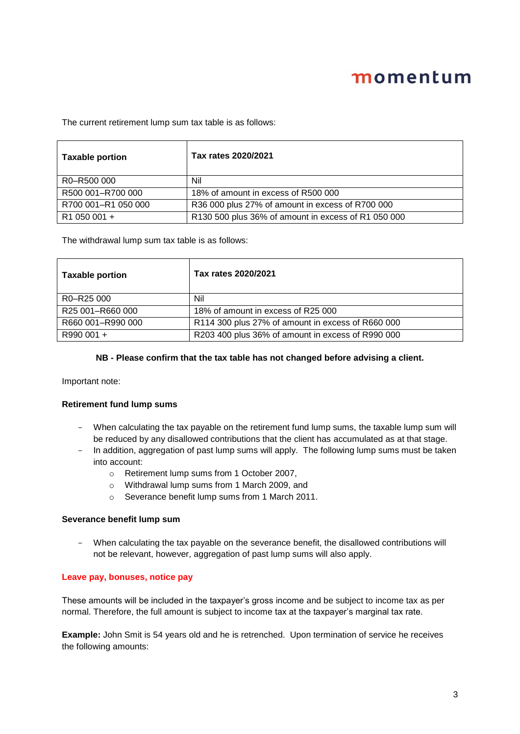The current retirement lump sum tax table is as follows:

| <b>Taxable portion</b> | Tax rates 2020/2021                                 |
|------------------------|-----------------------------------------------------|
| R0-R500 000            | Nil                                                 |
| R500 001-R700 000      | 18% of amount in excess of R500 000                 |
| R700 001-R1 050 000    | R36 000 plus 27% of amount in excess of R700 000    |
| R1 050 001 +           | R130 500 plus 36% of amount in excess of R1 050 000 |

The withdrawal lump sum tax table is as follows:

| <b>Taxable portion</b> | Tax rates 2020/2021                               |
|------------------------|---------------------------------------------------|
| R0-R25 000             | Nil                                               |
| R25 001-R660 000       | 18% of amount in excess of R25 000                |
| R660 001-R990 000      | R114 300 plus 27% of amount in excess of R660 000 |
| R990 001 +             | R203 400 plus 36% of amount in excess of R990 000 |

#### **NB - Please confirm that the tax table has not changed before advising a client.**

Important note:

#### **Retirement fund lump sums**

- When calculating the tax payable on the retirement fund lump sums, the taxable lump sum will be reduced by any disallowed contributions that the client has accumulated as at that stage.
- In addition, aggregation of past lump sums will apply. The following lump sums must be taken into account:
	- o Retirement lump sums from 1 October 2007,
	- o Withdrawal lump sums from 1 March 2009, and
	- o Severance benefit lump sums from 1 March 2011.

#### **Severance benefit lump sum**

- When calculating the tax payable on the severance benefit, the disallowed contributions will not be relevant, however, aggregation of past lump sums will also apply.

#### **Leave pay, bonuses, notice pay**

These amounts will be included in the taxpayer's gross income and be subject to income tax as per normal. Therefore, the full amount is subject to income tax at the taxpayer's marginal tax rate.

**Example:** John Smit is 54 years old and he is retrenched. Upon termination of service he receives the following amounts: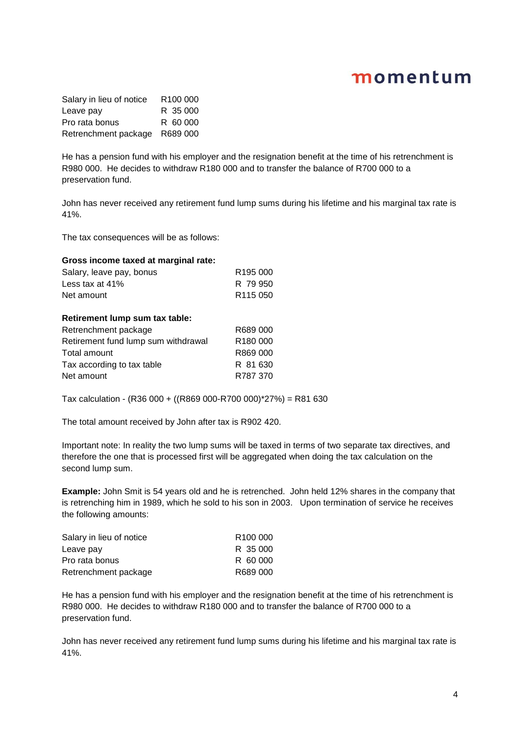Salary in lieu of notice R100 000 Leave pay R 35 000 Pro rata bonus R 60 000 Retrenchment package R689 000

He has a pension fund with his employer and the resignation benefit at the time of his retrenchment is R980 000. He decides to withdraw R180 000 and to transfer the balance of R700 000 to a preservation fund.

John has never received any retirement fund lump sums during his lifetime and his marginal tax rate is 41%.

The tax consequences will be as follows:

| Gross income taxed at marginal rate: |                      |
|--------------------------------------|----------------------|
| Salary, leave pay, bonus             | R <sub>195</sub> 000 |
| Less tax at 41%                      | R 79.950             |
| Net amount                           | R <sub>115</sub> 050 |

| Retirement lump sum tax table:      |                      |  |
|-------------------------------------|----------------------|--|
| Retrenchment package                | R689 000             |  |
| Retirement fund lump sum withdrawal | R <sub>180</sub> 000 |  |
| Total amount                        | R869 000             |  |
| Tax according to tax table          | R 81 630             |  |
| Net amount                          | R787 370             |  |

Tax calculation - (R36 000 + ((R869 000-R700 000)\*27%) = R81 630

The total amount received by John after tax is R902 420.

Important note: In reality the two lump sums will be taxed in terms of two separate tax directives, and therefore the one that is processed first will be aggregated when doing the tax calculation on the second lump sum.

**Example:** John Smit is 54 years old and he is retrenched. John held 12% shares in the company that is retrenching him in 1989, which he sold to his son in 2003. Upon termination of service he receives the following amounts:

| Salary in lieu of notice | R <sub>100</sub> 000 |
|--------------------------|----------------------|
| Leave pay                | R 35 000             |
| Pro rata bonus           | R 60 000             |
| Retrenchment package     | R689 000             |

He has a pension fund with his employer and the resignation benefit at the time of his retrenchment is R980 000. He decides to withdraw R180 000 and to transfer the balance of R700 000 to a preservation fund.

John has never received any retirement fund lump sums during his lifetime and his marginal tax rate is 41%.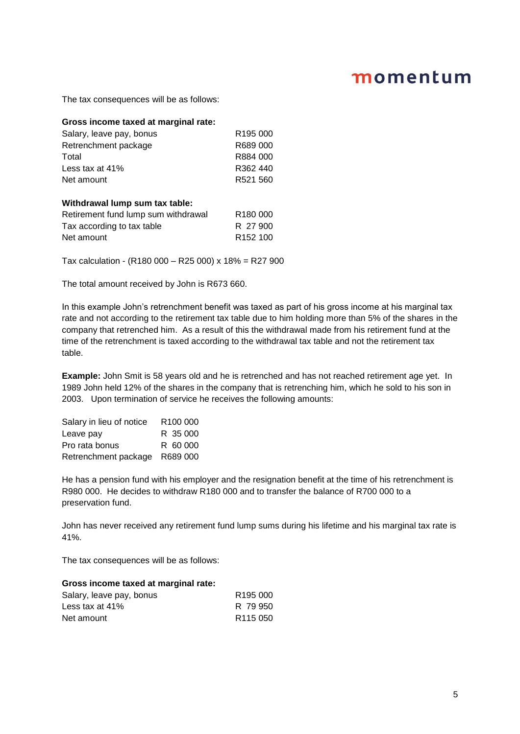The tax consequences will be as follows:

| Gross income taxed at marginal rate: |                      |
|--------------------------------------|----------------------|
| Salary, leave pay, bonus             | R <sub>195</sub> 000 |
| Retrenchment package                 | R689 000             |
| Total                                | R884 000             |
| Less tax at $41\%$                   | R362440              |
| Net amount                           | R521 560             |
| Withdrawal lump sum tax table:       |                      |
| Retirement fund lump sum withdrawal  | R <sub>180</sub> 000 |
| Tax according to tax table           | R 27 900             |
| Net amount                           | R <sub>152</sub> 100 |

Tax calculation - (R180 000 – R25 000) x 18% = R27 900

The total amount received by John is R673 660.

In this example John's retrenchment benefit was taxed as part of his gross income at his marginal tax rate and not according to the retirement tax table due to him holding more than 5% of the shares in the company that retrenched him. As a result of this the withdrawal made from his retirement fund at the time of the retrenchment is taxed according to the withdrawal tax table and not the retirement tax table.

**Example:** John Smit is 58 years old and he is retrenched and has not reached retirement age yet. In 1989 John held 12% of the shares in the company that is retrenching him, which he sold to his son in 2003. Upon termination of service he receives the following amounts:

| Salary in lieu of notice | R <sub>100</sub> 000 |
|--------------------------|----------------------|
| Leave pay                | R 35 000             |
| Pro rata bonus           | R 60 000             |
| Retrenchment package     | R689 000             |

He has a pension fund with his employer and the resignation benefit at the time of his retrenchment is R980 000. He decides to withdraw R180 000 and to transfer the balance of R700 000 to a preservation fund.

John has never received any retirement fund lump sums during his lifetime and his marginal tax rate is 41%.

The tax consequences will be as follows:

#### **Gross income taxed at marginal rate:**

| Salary, leave pay, bonus | R <sub>195</sub> 000 |
|--------------------------|----------------------|
| Less tax at 41%          | R 79 950             |
| Net amount               | R <sub>115</sub> 050 |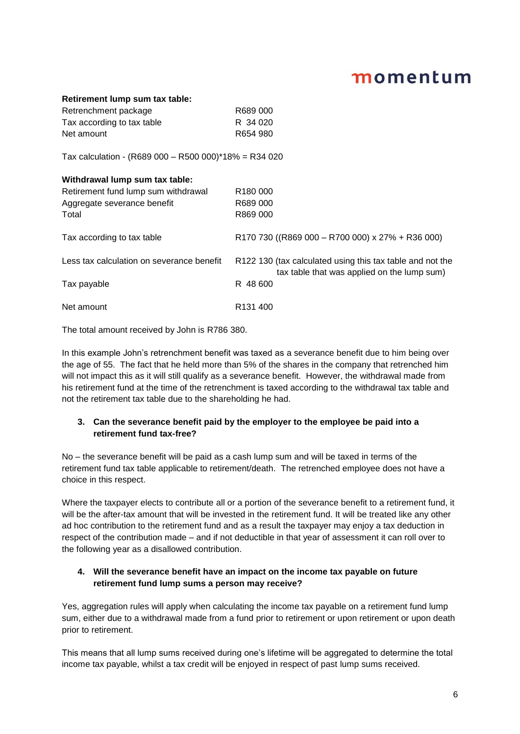| R689 000                                                                                                 |
|----------------------------------------------------------------------------------------------------------|
| R 34 020                                                                                                 |
| R654 980                                                                                                 |
| Tax calculation - (R689 000 - R500 000)*18% = R34 020                                                    |
|                                                                                                          |
| R <sub>180</sub> 000                                                                                     |
| R689 000                                                                                                 |
| R869 000                                                                                                 |
| R170 730 ((R869 000 - R700 000) x 27% + R36 000)                                                         |
| R122 130 (tax calculated using this tax table and not the<br>tax table that was applied on the lump sum) |
| R 48 600                                                                                                 |
| R <sub>131</sub> 400                                                                                     |
|                                                                                                          |

The total amount received by John is R786 380.

In this example John's retrenchment benefit was taxed as a severance benefit due to him being over the age of 55. The fact that he held more than 5% of the shares in the company that retrenched him will not impact this as it will still qualify as a severance benefit. However, the withdrawal made from his retirement fund at the time of the retrenchment is taxed according to the withdrawal tax table and not the retirement tax table due to the shareholding he had.

### **3. Can the severance benefit paid by the employer to the employee be paid into a retirement fund tax-free?**

No – the severance benefit will be paid as a cash lump sum and will be taxed in terms of the retirement fund tax table applicable to retirement/death. The retrenched employee does not have a choice in this respect.

Where the taxpayer elects to contribute all or a portion of the severance benefit to a retirement fund, it will be the after-tax amount that will be invested in the retirement fund. It will be treated like any other ad hoc contribution to the retirement fund and as a result the taxpayer may enjoy a tax deduction in respect of the contribution made – and if not deductible in that year of assessment it can roll over to the following year as a disallowed contribution.

### **4. Will the severance benefit have an impact on the income tax payable on future retirement fund lump sums a person may receive?**

Yes, aggregation rules will apply when calculating the income tax payable on a retirement fund lump sum, either due to a withdrawal made from a fund prior to retirement or upon retirement or upon death prior to retirement.

This means that all lump sums received during one's lifetime will be aggregated to determine the total income tax payable, whilst a tax credit will be enjoyed in respect of past lump sums received.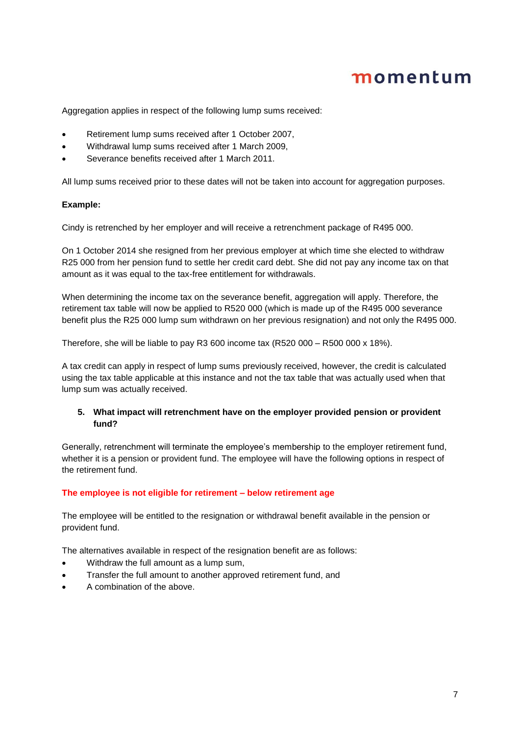Aggregation applies in respect of the following lump sums received:

- Retirement lump sums received after 1 October 2007,
- Withdrawal lump sums received after 1 March 2009,
- Severance benefits received after 1 March 2011.

All lump sums received prior to these dates will not be taken into account for aggregation purposes.

#### **Example:**

Cindy is retrenched by her employer and will receive a retrenchment package of R495 000.

On 1 October 2014 she resigned from her previous employer at which time she elected to withdraw R25 000 from her pension fund to settle her credit card debt. She did not pay any income tax on that amount as it was equal to the tax-free entitlement for withdrawals.

When determining the income tax on the severance benefit, aggregation will apply. Therefore, the retirement tax table will now be applied to R520 000 (which is made up of the R495 000 severance benefit plus the R25 000 lump sum withdrawn on her previous resignation) and not only the R495 000.

Therefore, she will be liable to pay R3 600 income tax (R520 000 – R500 000 x 18%).

A tax credit can apply in respect of lump sums previously received, however, the credit is calculated using the tax table applicable at this instance and not the tax table that was actually used when that lump sum was actually received.

#### **5. What impact will retrenchment have on the employer provided pension or provident fund?**

Generally, retrenchment will terminate the employee's membership to the employer retirement fund, whether it is a pension or provident fund. The employee will have the following options in respect of the retirement fund.

#### **The employee is not eligible for retirement – below retirement age**

The employee will be entitled to the resignation or withdrawal benefit available in the pension or provident fund.

The alternatives available in respect of the resignation benefit are as follows:

- Withdraw the full amount as a lump sum,
- Transfer the full amount to another approved retirement fund, and
- A combination of the above.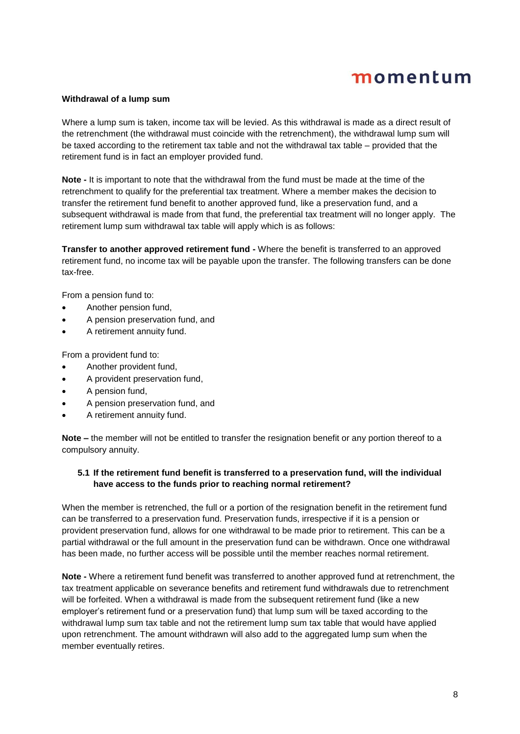#### **Withdrawal of a lump sum**

Where a lump sum is taken, income tax will be levied. As this withdrawal is made as a direct result of the retrenchment (the withdrawal must coincide with the retrenchment), the withdrawal lump sum will be taxed according to the retirement tax table and not the withdrawal tax table – provided that the retirement fund is in fact an employer provided fund.

**Note -** It is important to note that the withdrawal from the fund must be made at the time of the retrenchment to qualify for the preferential tax treatment. Where a member makes the decision to transfer the retirement fund benefit to another approved fund, like a preservation fund, and a subsequent withdrawal is made from that fund, the preferential tax treatment will no longer apply. The retirement lump sum withdrawal tax table will apply which is as follows:

**Transfer to another approved retirement fund -** Where the benefit is transferred to an approved retirement fund, no income tax will be payable upon the transfer. The following transfers can be done tax-free.

From a pension fund to:

- Another pension fund,
- A pension preservation fund, and
- A retirement annuity fund.

From a provident fund to:

- Another provident fund,
- A provident preservation fund,
- A pension fund,
- A pension preservation fund, and
- A retirement annuity fund.

**Note –** the member will not be entitled to transfer the resignation benefit or any portion thereof to a compulsory annuity.

#### **5.1 If the retirement fund benefit is transferred to a preservation fund, will the individual have access to the funds prior to reaching normal retirement?**

When the member is retrenched, the full or a portion of the resignation benefit in the retirement fund can be transferred to a preservation fund. Preservation funds, irrespective if it is a pension or provident preservation fund, allows for one withdrawal to be made prior to retirement. This can be a partial withdrawal or the full amount in the preservation fund can be withdrawn. Once one withdrawal has been made, no further access will be possible until the member reaches normal retirement.

**Note -** Where a retirement fund benefit was transferred to another approved fund at retrenchment, the tax treatment applicable on severance benefits and retirement fund withdrawals due to retrenchment will be forfeited. When a withdrawal is made from the subsequent retirement fund (like a new employer's retirement fund or a preservation fund) that lump sum will be taxed according to the withdrawal lump sum tax table and not the retirement lump sum tax table that would have applied upon retrenchment. The amount withdrawn will also add to the aggregated lump sum when the member eventually retires.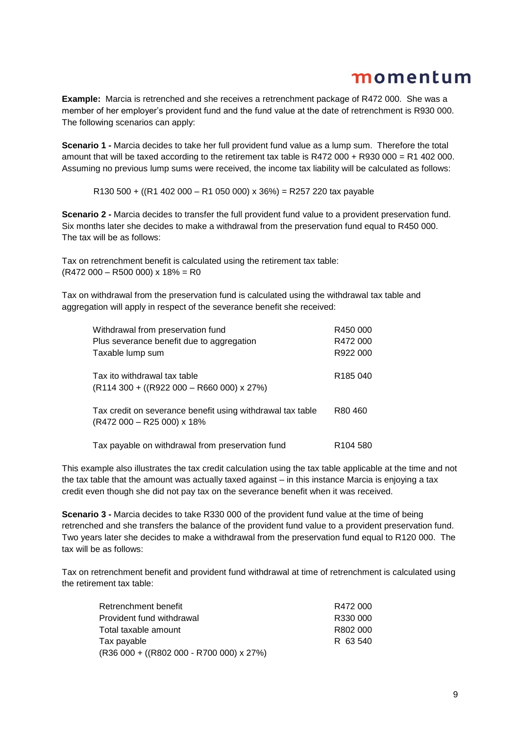**Example:** Marcia is retrenched and she receives a retrenchment package of R472 000. She was a member of her employer's provident fund and the fund value at the date of retrenchment is R930 000. The following scenarios can apply:

**Scenario 1 -** Marcia decides to take her full provident fund value as a lump sum. Therefore the total amount that will be taxed according to the retirement tax table is  $R472 000 + R930 000 = R1 402 000$ . Assuming no previous lump sums were received, the income tax liability will be calculated as follows:

R130 500 + ((R1 402 000 – R1 050 000) x 36%) = R257 220 tax payable

**Scenario 2 -** Marcia decides to transfer the full provident fund value to a provident preservation fund. Six months later she decides to make a withdrawal from the preservation fund equal to R450 000. The tax will be as follows:

Tax on retrenchment benefit is calculated using the retirement tax table:  $(R472000 - R500000) \times 18\% = R0$ 

Tax on withdrawal from the preservation fund is calculated using the withdrawal tax table and aggregation will apply in respect of the severance benefit she received:

| Withdrawal from preservation fund                                                        | R450 000             |
|------------------------------------------------------------------------------------------|----------------------|
| Plus severance benefit due to aggregation                                                | R472 000             |
| Taxable lump sum                                                                         | R922 000             |
| Tax ito withdrawal tax table<br>$(R114300 + ((R922000 - R660000) \times 27%)$            | R <sub>185</sub> 040 |
| Tax credit on severance benefit using withdrawal tax table<br>(R472 000 - R25 000) x 18% | R80460               |
| Tax payable on withdrawal from preservation fund                                         | R <sub>104</sub> 580 |

This example also illustrates the tax credit calculation using the tax table applicable at the time and not the tax table that the amount was actually taxed against – in this instance Marcia is enjoying a tax credit even though she did not pay tax on the severance benefit when it was received.

**Scenario 3 -** Marcia decides to take R330 000 of the provident fund value at the time of being retrenched and she transfers the balance of the provident fund value to a provident preservation fund. Two years later she decides to make a withdrawal from the preservation fund equal to R120 000. The tax will be as follows:

Tax on retrenchment benefit and provident fund withdrawal at time of retrenchment is calculated using the retirement tax table:

| Retrenchment benefit                    | R472 000 |
|-----------------------------------------|----------|
| Provident fund withdrawal               | R330 000 |
| Total taxable amount                    | R802 000 |
| Tax payable                             | R 63 540 |
| $(R36000 + ((R802000 - R700000) x 27%)$ |          |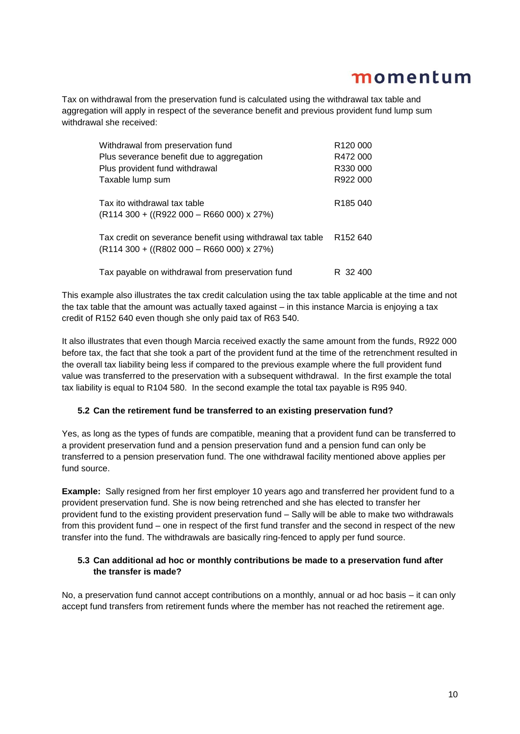Tax on withdrawal from the preservation fund is calculated using the withdrawal tax table and aggregation will apply in respect of the severance benefit and previous provident fund lump sum withdrawal she received:

| Withdrawal from preservation fund                          | R <sub>120</sub> 000 |
|------------------------------------------------------------|----------------------|
| Plus severance benefit due to aggregation                  | R472 000             |
| Plus provident fund withdrawal                             | R330 000             |
| Taxable lump sum                                           | R922 000             |
|                                                            |                      |
| Tax ito withdrawal tax table                               | R <sub>185</sub> 040 |
| $(R114300 + ((R922000 - R660000) \times 27%)$              |                      |
|                                                            |                      |
| Tax credit on severance benefit using withdrawal tax table | R <sub>152</sub> 640 |
| $(R114300 + ((R802000 - R660000) \times 27%)$              |                      |
| Tax payable on withdrawal from preservation fund           | R 32 400             |
|                                                            |                      |

This example also illustrates the tax credit calculation using the tax table applicable at the time and not the tax table that the amount was actually taxed against – in this instance Marcia is enjoying a tax credit of R152 640 even though she only paid tax of R63 540.

It also illustrates that even though Marcia received exactly the same amount from the funds, R922 000 before tax, the fact that she took a part of the provident fund at the time of the retrenchment resulted in the overall tax liability being less if compared to the previous example where the full provident fund value was transferred to the preservation with a subsequent withdrawal. In the first example the total tax liability is equal to R104 580. In the second example the total tax payable is R95 940.

### **5.2 Can the retirement fund be transferred to an existing preservation fund?**

Yes, as long as the types of funds are compatible, meaning that a provident fund can be transferred to a provident preservation fund and a pension preservation fund and a pension fund can only be transferred to a pension preservation fund. The one withdrawal facility mentioned above applies per fund source.

**Example:** Sally resigned from her first employer 10 years ago and transferred her provident fund to a provident preservation fund. She is now being retrenched and she has elected to transfer her provident fund to the existing provident preservation fund – Sally will be able to make two withdrawals from this provident fund – one in respect of the first fund transfer and the second in respect of the new transfer into the fund. The withdrawals are basically ring-fenced to apply per fund source.

### **5.3 Can additional ad hoc or monthly contributions be made to a preservation fund after the transfer is made?**

No, a preservation fund cannot accept contributions on a monthly, annual or ad hoc basis – it can only accept fund transfers from retirement funds where the member has not reached the retirement age.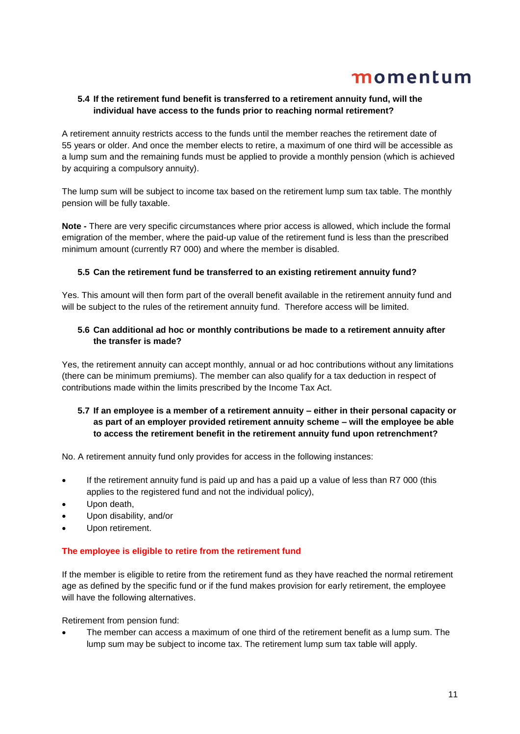### **5.4 If the retirement fund benefit is transferred to a retirement annuity fund, will the individual have access to the funds prior to reaching normal retirement?**

A retirement annuity restricts access to the funds until the member reaches the retirement date of 55 years or older. And once the member elects to retire, a maximum of one third will be accessible as a lump sum and the remaining funds must be applied to provide a monthly pension (which is achieved by acquiring a compulsory annuity).

The lump sum will be subject to income tax based on the retirement lump sum tax table. The monthly pension will be fully taxable.

**Note -** There are very specific circumstances where prior access is allowed, which include the formal emigration of the member, where the paid-up value of the retirement fund is less than the prescribed minimum amount (currently R7 000) and where the member is disabled.

### **5.5 Can the retirement fund be transferred to an existing retirement annuity fund?**

Yes. This amount will then form part of the overall benefit available in the retirement annuity fund and will be subject to the rules of the retirement annuity fund. Therefore access will be limited.

### **5.6 Can additional ad hoc or monthly contributions be made to a retirement annuity after the transfer is made?**

Yes, the retirement annuity can accept monthly, annual or ad hoc contributions without any limitations (there can be minimum premiums). The member can also qualify for a tax deduction in respect of contributions made within the limits prescribed by the Income Tax Act.

#### **5.7 If an employee is a member of a retirement annuity – either in their personal capacity or as part of an employer provided retirement annuity scheme – will the employee be able to access the retirement benefit in the retirement annuity fund upon retrenchment?**

No. A retirement annuity fund only provides for access in the following instances:

- If the retirement annuity fund is paid up and has a paid up a value of less than R7 000 (this applies to the registered fund and not the individual policy),
- Upon death,
- Upon disability, and/or
- Upon retirement.

#### **The employee is eligible to retire from the retirement fund**

If the member is eligible to retire from the retirement fund as they have reached the normal retirement age as defined by the specific fund or if the fund makes provision for early retirement, the employee will have the following alternatives.

Retirement from pension fund:

 The member can access a maximum of one third of the retirement benefit as a lump sum. The lump sum may be subject to income tax. The retirement lump sum tax table will apply.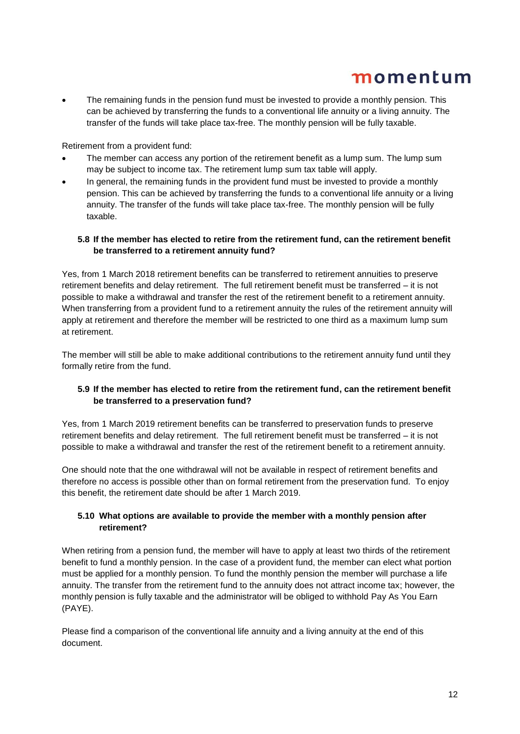The remaining funds in the pension fund must be invested to provide a monthly pension. This can be achieved by transferring the funds to a conventional life annuity or a living annuity. The transfer of the funds will take place tax-free. The monthly pension will be fully taxable.

Retirement from a provident fund:

- The member can access any portion of the retirement benefit as a lump sum. The lump sum may be subject to income tax. The retirement lump sum tax table will apply.
- In general, the remaining funds in the provident fund must be invested to provide a monthly pension. This can be achieved by transferring the funds to a conventional life annuity or a living annuity. The transfer of the funds will take place tax-free. The monthly pension will be fully taxable.

#### **5.8 If the member has elected to retire from the retirement fund, can the retirement benefit be transferred to a retirement annuity fund?**

Yes, from 1 March 2018 retirement benefits can be transferred to retirement annuities to preserve retirement benefits and delay retirement. The full retirement benefit must be transferred – it is not possible to make a withdrawal and transfer the rest of the retirement benefit to a retirement annuity. When transferring from a provident fund to a retirement annuity the rules of the retirement annuity will apply at retirement and therefore the member will be restricted to one third as a maximum lump sum at retirement.

The member will still be able to make additional contributions to the retirement annuity fund until they formally retire from the fund.

### **5.9 If the member has elected to retire from the retirement fund, can the retirement benefit be transferred to a preservation fund?**

Yes, from 1 March 2019 retirement benefits can be transferred to preservation funds to preserve retirement benefits and delay retirement. The full retirement benefit must be transferred – it is not possible to make a withdrawal and transfer the rest of the retirement benefit to a retirement annuity.

One should note that the one withdrawal will not be available in respect of retirement benefits and therefore no access is possible other than on formal retirement from the preservation fund. To enjoy this benefit, the retirement date should be after 1 March 2019.

### **5.10 What options are available to provide the member with a monthly pension after retirement?**

When retiring from a pension fund, the member will have to apply at least two thirds of the retirement benefit to fund a monthly pension. In the case of a provident fund, the member can elect what portion must be applied for a monthly pension. To fund the monthly pension the member will purchase a life annuity. The transfer from the retirement fund to the annuity does not attract income tax; however, the monthly pension is fully taxable and the administrator will be obliged to withhold Pay As You Earn (PAYE).

Please find a comparison of the conventional life annuity and a living annuity at the end of this document.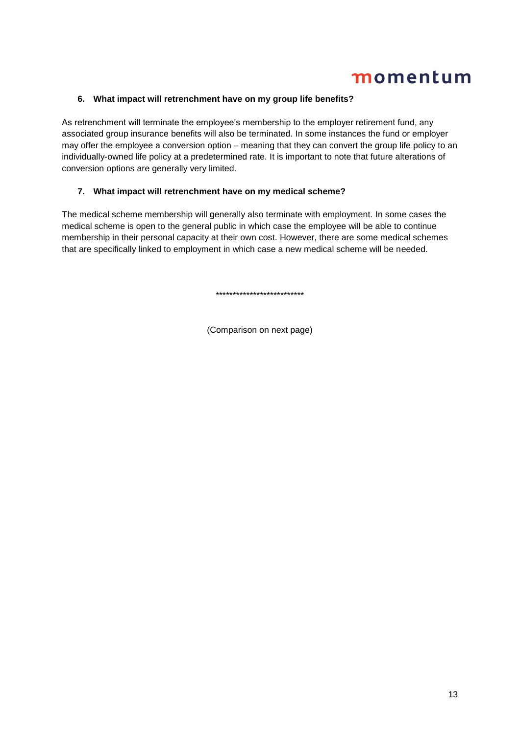### **6. What impact will retrenchment have on my group life benefits?**

As retrenchment will terminate the employee's membership to the employer retirement fund, any associated group insurance benefits will also be terminated. In some instances the fund or employer may offer the employee a conversion option – meaning that they can convert the group life policy to an individually-owned life policy at a predetermined rate. It is important to note that future alterations of conversion options are generally very limited.

### **7. What impact will retrenchment have on my medical scheme?**

The medical scheme membership will generally also terminate with employment. In some cases the medical scheme is open to the general public in which case the employee will be able to continue membership in their personal capacity at their own cost. However, there are some medical schemes that are specifically linked to employment in which case a new medical scheme will be needed.

\*\*\*\*\*\*\*\*\*\*\*\*\*\*\*\*\*\*\*\*\*\*\*\*\*\*

(Comparison on next page)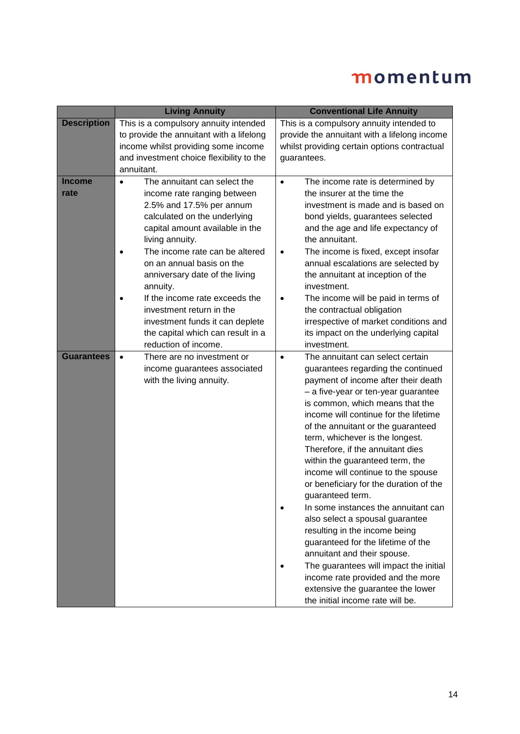|                       | <b>Living Annuity</b>                                                                                                                                                                                                                                                                                                                                                                                                                                                 | <b>Conventional Life Annuity</b>                                                                                                                                                                                                                                                                                                                                                                                                                                                                                                                                                                                                                                                                                                                                                                                                                       |
|-----------------------|-----------------------------------------------------------------------------------------------------------------------------------------------------------------------------------------------------------------------------------------------------------------------------------------------------------------------------------------------------------------------------------------------------------------------------------------------------------------------|--------------------------------------------------------------------------------------------------------------------------------------------------------------------------------------------------------------------------------------------------------------------------------------------------------------------------------------------------------------------------------------------------------------------------------------------------------------------------------------------------------------------------------------------------------------------------------------------------------------------------------------------------------------------------------------------------------------------------------------------------------------------------------------------------------------------------------------------------------|
| <b>Description</b>    | This is a compulsory annuity intended<br>to provide the annuitant with a lifelong<br>income whilst providing some income<br>and investment choice flexibility to the<br>annuitant.                                                                                                                                                                                                                                                                                    | This is a compulsory annuity intended to<br>provide the annuitant with a lifelong income<br>whilst providing certain options contractual<br>guarantees.                                                                                                                                                                                                                                                                                                                                                                                                                                                                                                                                                                                                                                                                                                |
| <b>Income</b><br>rate | The annuitant can select the<br>$\bullet$<br>income rate ranging between<br>2.5% and 17.5% per annum<br>calculated on the underlying<br>capital amount available in the<br>living annuity.<br>The income rate can be altered<br>on an annual basis on the<br>anniversary date of the living<br>annuity.<br>If the income rate exceeds the<br>investment return in the<br>investment funds it can deplete<br>the capital which can result in a<br>reduction of income. | The income rate is determined by<br>$\bullet$<br>the insurer at the time the<br>investment is made and is based on<br>bond yields, guarantees selected<br>and the age and life expectancy of<br>the annuitant.<br>The income is fixed, except insofar<br>$\bullet$<br>annual escalations are selected by<br>the annuitant at inception of the<br>investment.<br>The income will be paid in terms of<br>$\bullet$<br>the contractual obligation<br>irrespective of market conditions and<br>its impact on the underlying capital<br>investment.                                                                                                                                                                                                                                                                                                         |
| <b>Guarantees</b>     | There are no investment or<br>$\bullet$<br>income guarantees associated<br>with the living annuity.                                                                                                                                                                                                                                                                                                                                                                   | The annuitant can select certain<br>$\bullet$<br>guarantees regarding the continued<br>payment of income after their death<br>- a five-year or ten-year guarantee<br>is common, which means that the<br>income will continue for the lifetime<br>of the annuitant or the guaranteed<br>term, whichever is the longest.<br>Therefore, if the annuitant dies<br>within the guaranteed term, the<br>income will continue to the spouse<br>or beneficiary for the duration of the<br>guaranteed term.<br>In some instances the annuitant can<br>also select a spousal guarantee<br>resulting in the income being<br>guaranteed for the lifetime of the<br>annuitant and their spouse.<br>The guarantees will impact the initial<br>$\bullet$<br>income rate provided and the more<br>extensive the guarantee the lower<br>the initial income rate will be. |